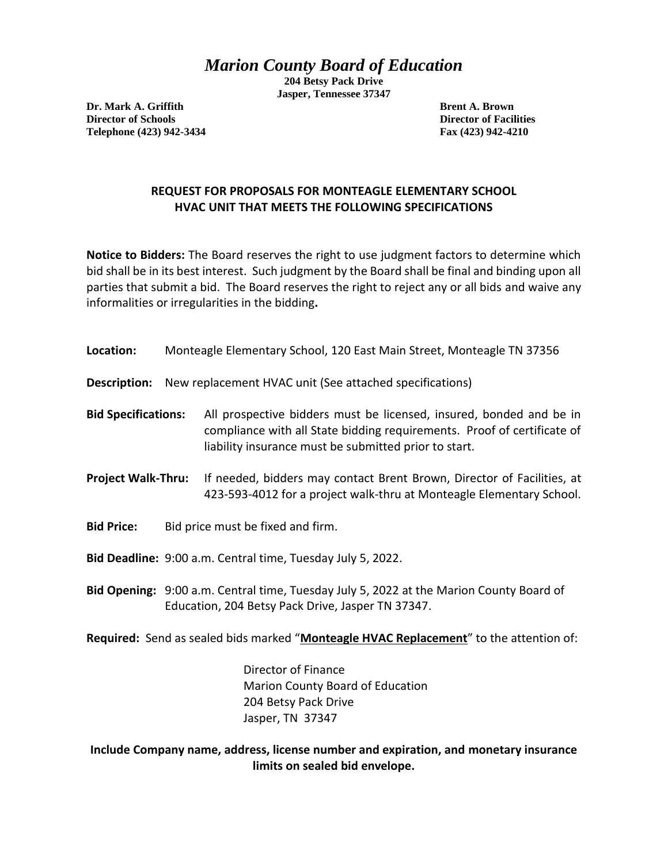## *Marion County Board of Education*

**204 Betsy Pack Drive Jasper, Tennessee 37347**

**Dr. Mark A. Griffith Brend A. Brown Director of Schools Director of Facilities Telephone (423) 942-3434 Fax (423) 942-4210**

## **REQUEST FOR PROPOSALS FOR MONTEAGLE ELEMENTARY SCHOOL HVAC UNIT THAT MEETS THE FOLLOWING SPECIFICATIONS**

**Notice to Bidders:** The Board reserves the right to use judgment factors to determine which bid shall be in its best interest. Such judgment by the Board shall be final and binding upon all parties that submit a bid. The Board reserves the right to reject any or all bids and waive any informalities or irregularities in the bidding**.** 

| Location: | Monteagle Elementary School, 120 East Main Street, Monteagle TN 37356 |
|-----------|-----------------------------------------------------------------------|
|           |                                                                       |

**Description:** New replacement HVAC unit (See attached specifications)

**Bid Specifications:** All prospective bidders must be licensed, insured, bonded and be in compliance with all State bidding requirements. Proof of certificate of liability insurance must be submitted prior to start.

- **Project Walk-Thru:** If needed, bidders may contact Brent Brown, Director of Facilities, at 423-593-4012 for a project walk-thru at Monteagle Elementary School.
- **Bid Price:** Bid price must be fixed and firm.

**Bid Deadline:** 9:00 a.m. Central time, Tuesday July 5, 2022.

**Bid Opening:** 9:00 a.m. Central time, Tuesday July 5, 2022 at the Marion County Board of Education, 204 Betsy Pack Drive, Jasper TN 37347.

**Required:** Send as sealed bids marked "**Monteagle HVAC Replacement**" to the attention of:

Director of Finance Marion County Board of Education 204 Betsy Pack Drive Jasper, TN 37347

**Include Company name, address, license number and expiration, and monetary insurance limits on sealed bid envelope.**